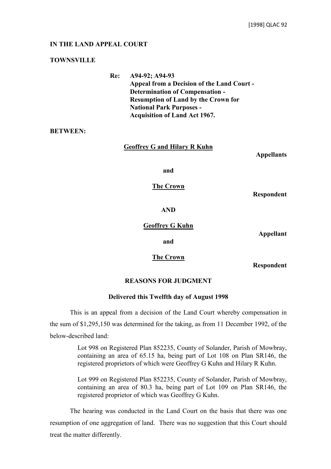# **IN THE LAND APPEAL COURT**

# **TOWNSVILLE**

**Re: A94-92; A94-93 Appeal from a Decision of the Land Court - Determination of Compensation - Resumption of Land by the Crown for National Park Purposes - Acquisition of Land Act 1967.**

**BETWEEN:**

**Geoffrey G and Hilary R Kuhn** 

**Appellants**

**and**

**The Crown**

**Respondent**

**AND**

**Geoffrey G Kuhn**

**Appellant**

**The Crown**

**and**

**Respondent**

# **REASONS FOR JUDGMENT**

# **Delivered this Twelfth day of August 1998**

This is an appeal from a decision of the Land Court whereby compensation in the sum of \$1,295,150 was determined for the taking, as from 11 December 1992, of the below-described land:

> Lot 998 on Registered Plan 852235, County of Solander, Parish of Mowbray, containing an area of 65.15 ha, being part of Lot 108 on Plan SR146, the registered proprietors of which were Geoffrey G Kuhn and Hilary R Kuhn.

> Lot 999 on Registered Plan 852235, County of Solander, Parish of Mowbray, containing an area of 80.3 ha, being part of Lot 109 on Plan SR146, the registered proprietor of which was Geoffrey G Kuhn.

The hearing was conducted in the Land Court on the basis that there was one resumption of one aggregation of land. There was no suggestion that this Court should treat the matter differently.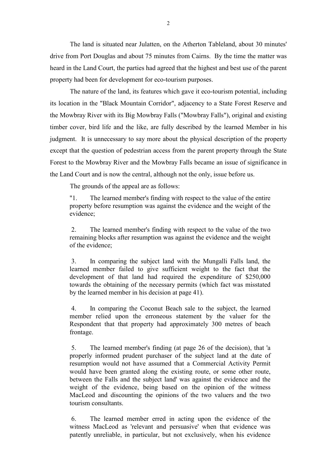The land is situated near Julatten, on the Atherton Tableland, about 30 minutes' drive from Port Douglas and about 75 minutes from Cairns. By the time the matter was heard in the Land Court, the parties had agreed that the highest and best use of the parent property had been for development for eco-tourism purposes.

The nature of the land, its features which gave it eco-tourism potential, including its location in the "Black Mountain Corridor", adjacency to a State Forest Reserve and the Mowbray River with its Big Mowbray Falls ("Mowbray Falls"), original and existing timber cover, bird life and the like, are fully described by the learned Member in his judgment. It is unnecessary to say more about the physical description of the property except that the question of pedestrian access from the parent property through the State Forest to the Mowbray River and the Mowbray Falls became an issue of significance in the Land Court and is now the central, although not the only, issue before us.

The grounds of the appeal are as follows:

"1. The learned member's finding with respect to the value of the entire property before resumption was against the evidence and the weight of the evidence;

 2. The learned member's finding with respect to the value of the two remaining blocks after resumption was against the evidence and the weight of the evidence;

 3. In comparing the subject land with the Mungalli Falls land, the learned member failed to give sufficient weight to the fact that the development of that land had required the expenditure of \$250,000 towards the obtaining of the necessary permits (which fact was misstated by the learned member in his decision at page 41).

 4. In comparing the Coconut Beach sale to the subject, the learned member relied upon the erroneous statement by the valuer for the Respondent that that property had approximately 300 metres of beach frontage.

 5. The learned member's finding (at page 26 of the decision), that 'a properly informed prudent purchaser of the subject land at the date of resumption would not have assumed that a Commercial Activity Permit would have been granted along the existing route, or some other route, between the Falls and the subject land' was against the evidence and the weight of the evidence, being based on the opinion of the witness MacLeod and discounting the opinions of the two valuers and the two tourism consultants.

 6. The learned member erred in acting upon the evidence of the witness MacLeod as 'relevant and persuasive' when that evidence was patently unreliable, in particular, but not exclusively, when his evidence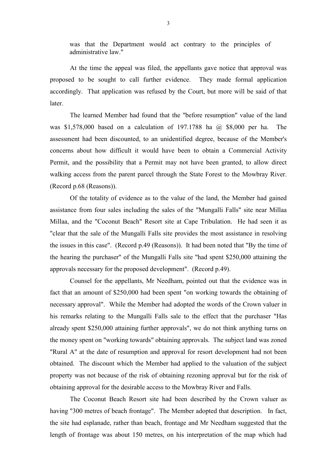was that the Department would act contrary to the principles of administrative law."

At the time the appeal was filed, the appellants gave notice that approval was proposed to be sought to call further evidence. They made formal application accordingly. That application was refused by the Court, but more will be said of that **later** 

The learned Member had found that the "before resumption" value of the land was \$1,578,000 based on a calculation of 197.1788 ha @ \$8,000 per ha. The assessment had been discounted, to an unidentified degree, because of the Member's concerns about how difficult it would have been to obtain a Commercial Activity Permit, and the possibility that a Permit may not have been granted, to allow direct walking access from the parent parcel through the State Forest to the Mowbray River. (Record p.68 (Reasons)).

Of the totality of evidence as to the value of the land, the Member had gained assistance from four sales including the sales of the "Mungalli Falls" site near Millaa Millaa, and the "Coconut Beach" Resort site at Cape Tribulation. He had seen it as "clear that the sale of the Mungalli Falls site provides the most assistance in resolving the issues in this case". (Record p.49 (Reasons)). It had been noted that "By the time of the hearing the purchaser" of the Mungalli Falls site "had spent \$250,000 attaining the approvals necessary for the proposed development". (Record p.49).

Counsel for the appellants, Mr Needham, pointed out that the evidence was in fact that an amount of \$250,000 had been spent "on working towards the obtaining of necessary approval". While the Member had adopted the words of the Crown valuer in his remarks relating to the Mungalli Falls sale to the effect that the purchaser "Has already spent \$250,000 attaining further approvals", we do not think anything turns on the money spent on "working towards" obtaining approvals. The subject land was zoned "Rural A" at the date of resumption and approval for resort development had not been obtained. The discount which the Member had applied to the valuation of the subject property was not because of the risk of obtaining rezoning approval but for the risk of obtaining approval for the desirable access to the Mowbray River and Falls.

The Coconut Beach Resort site had been described by the Crown valuer as having "300 metres of beach frontage". The Member adopted that description. In fact, the site had esplanade, rather than beach, frontage and Mr Needham suggested that the length of frontage was about 150 metres, on his interpretation of the map which had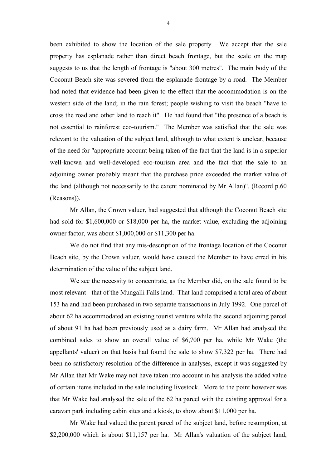been exhibited to show the location of the sale property. We accept that the sale property has esplanade rather than direct beach frontage, but the scale on the map suggests to us that the length of frontage is "about 300 metres". The main body of the Coconut Beach site was severed from the esplanade frontage by a road. The Member had noted that evidence had been given to the effect that the accommodation is on the western side of the land; in the rain forest; people wishing to visit the beach "have to cross the road and other land to reach it". He had found that "the presence of a beach is not essential to rainforest eco-tourism." The Member was satisfied that the sale was relevant to the valuation of the subject land, although to what extent is unclear, because of the need for "appropriate account being taken of the fact that the land is in a superior well-known and well-developed eco-tourism area and the fact that the sale to an adjoining owner probably meant that the purchase price exceeded the market value of the land (although not necessarily to the extent nominated by Mr Allan)". (Record p.60 (Reasons)).

Mr Allan, the Crown valuer, had suggested that although the Coconut Beach site had sold for \$1,600,000 or \$18,000 per ha, the market value, excluding the adjoining owner factor, was about \$1,000,000 or \$11,300 per ha.

We do not find that any mis-description of the frontage location of the Coconut Beach site, by the Crown valuer, would have caused the Member to have erred in his determination of the value of the subject land.

We see the necessity to concentrate, as the Member did, on the sale found to be most relevant - that of the Mungalli Falls land. That land comprised a total area of about 153 ha and had been purchased in two separate transactions in July 1992. One parcel of about 62 ha accommodated an existing tourist venture while the second adjoining parcel of about 91 ha had been previously used as a dairy farm. Mr Allan had analysed the combined sales to show an overall value of \$6,700 per ha, while Mr Wake (the appellants' valuer) on that basis had found the sale to show \$7,322 per ha. There had been no satisfactory resolution of the difference in analyses, except it was suggested by Mr Allan that Mr Wake may not have taken into account in his analysis the added value of certain items included in the sale including livestock. More to the point however was that Mr Wake had analysed the sale of the 62 ha parcel with the existing approval for a caravan park including cabin sites and a kiosk, to show about \$11,000 per ha.

Mr Wake had valued the parent parcel of the subject land, before resumption, at \$2,200,000 which is about \$11,157 per ha. Mr Allan's valuation of the subject land,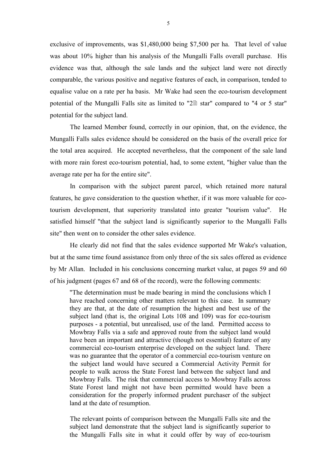exclusive of improvements, was \$1,480,000 being \$7,500 per ha. That level of value was about 10% higher than his analysis of the Mungalli Falls overall purchase. His evidence was that, although the sale lands and the subject land were not directly comparable, the various positive and negative features of each, in comparison, tended to equalise value on a rate per ha basis. Mr Wake had seen the eco-tourism development potential of the Mungalli Falls site as limited to " $2 \mathbb{B}$  star" compared to "4 or 5 star" potential for the subject land.

The learned Member found, correctly in our opinion, that, on the evidence, the Mungalli Falls sales evidence should be considered on the basis of the overall price for the total area acquired. He accepted nevertheless, that the component of the sale land with more rain forest eco-tourism potential, had, to some extent, "higher value than the average rate per ha for the entire site".

In comparison with the subject parent parcel, which retained more natural features, he gave consideration to the question whether, if it was more valuable for ecotourism development, that superiority translated into greater "tourism value". He satisfied himself "that the subject land is significantly superior to the Mungalli Falls site" then went on to consider the other sales evidence.

He clearly did not find that the sales evidence supported Mr Wake's valuation, but at the same time found assistance from only three of the six sales offered as evidence by Mr Allan. Included in his conclusions concerning market value, at pages 59 and 60 of his judgment (pages 67 and 68 of the record), were the following comments:

"The determination must be made bearing in mind the conclusions which I have reached concerning other matters relevant to this case. In summary they are that, at the date of resumption the highest and best use of the subject land (that is, the original Lots 108 and 109) was for eco-tourism purposes - a potential, but unrealised, use of the land. Permitted access to Mowbray Falls via a safe and approved route from the subject land would have been an important and attractive (though not essential) feature of any commercial eco-tourism enterprise developed on the subject land. There was no guarantee that the operator of a commercial eco-tourism venture on the subject land would have secured a Commercial Activity Permit for people to walk across the State Forest land between the subject land and Mowbray Falls. The risk that commercial access to Mowbray Falls across State Forest land might not have been permitted would have been a consideration for the properly informed prudent purchaser of the subject land at the date of resumption.

The relevant points of comparison between the Mungalli Falls site and the subject land demonstrate that the subject land is significantly superior to the Mungalli Falls site in what it could offer by way of eco-tourism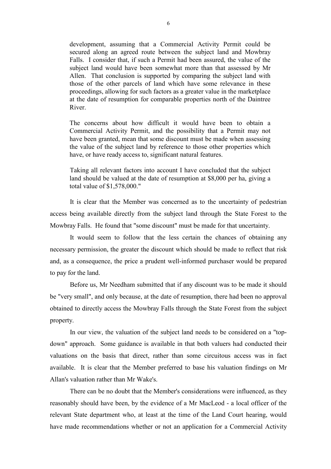development, assuming that a Commercial Activity Permit could be secured along an agreed route between the subject land and Mowbray Falls. I consider that, if such a Permit had been assured, the value of the subject land would have been somewhat more than that assessed by Mr Allen. That conclusion is supported by comparing the subject land with those of the other parcels of land which have some relevance in these proceedings, allowing for such factors as a greater value in the marketplace at the date of resumption for comparable properties north of the Daintree River.

The concerns about how difficult it would have been to obtain a Commercial Activity Permit, and the possibility that a Permit may not have been granted, mean that some discount must be made when assessing the value of the subject land by reference to those other properties which have, or have ready access to, significant natural features.

Taking all relevant factors into account I have concluded that the subject land should be valued at the date of resumption at \$8,000 per ha, giving a total value of \$1,578,000."

It is clear that the Member was concerned as to the uncertainty of pedestrian access being available directly from the subject land through the State Forest to the Mowbray Falls. He found that "some discount" must be made for that uncertainty.

It would seem to follow that the less certain the chances of obtaining any necessary permission, the greater the discount which should be made to reflect that risk and, as a consequence, the price a prudent well-informed purchaser would be prepared to pay for the land.

Before us, Mr Needham submitted that if any discount was to be made it should be "very small", and only because, at the date of resumption, there had been no approval obtained to directly access the Mowbray Falls through the State Forest from the subject property.

In our view, the valuation of the subject land needs to be considered on a "topdown" approach. Some guidance is available in that both valuers had conducted their valuations on the basis that direct, rather than some circuitous access was in fact available. It is clear that the Member preferred to base his valuation findings on Mr Allan's valuation rather than Mr Wake's.

There can be no doubt that the Member's considerations were influenced, as they reasonably should have been, by the evidence of a Mr MacLeod - a local officer of the relevant State department who, at least at the time of the Land Court hearing, would have made recommendations whether or not an application for a Commercial Activity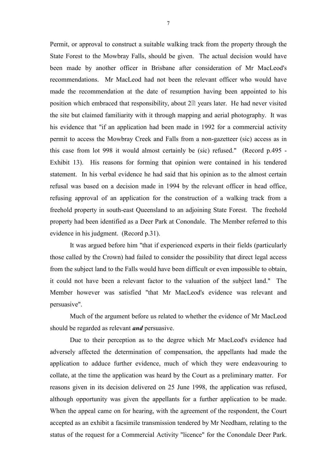Permit, or approval to construct a suitable walking track from the property through the State Forest to the Mowbray Falls, should be given. The actual decision would have been made by another officer in Brisbane after consideration of Mr MacLeod's recommendations. Mr MacLeod had not been the relevant officer who would have made the recommendation at the date of resumption having been appointed to his position which embraced that responsibility, about  $2 \triangleq$  years later. He had never visited the site but claimed familiarity with it through mapping and aerial photography. It was his evidence that "if an application had been made in 1992 for a commercial activity permit to access the Mowbray Creek and Falls from a non-gazetteer (sic) access as in this case from lot 998 it would almost certainly be (sic) refused." (Record p.495 - Exhibit 13). His reasons for forming that opinion were contained in his tendered statement. In his verbal evidence he had said that his opinion as to the almost certain refusal was based on a decision made in 1994 by the relevant officer in head office, refusing approval of an application for the construction of a walking track from a freehold property in south-east Queensland to an adjoining State Forest. The freehold property had been identified as a Deer Park at Conondale. The Member referred to this evidence in his judgment. (Record p.31).

It was argued before him "that if experienced experts in their fields (particularly those called by the Crown) had failed to consider the possibility that direct legal access from the subject land to the Falls would have been difficult or even impossible to obtain, it could not have been a relevant factor to the valuation of the subject land." The Member however was satisfied "that Mr MacLeod's evidence was relevant and persuasive".

Much of the argument before us related to whether the evidence of Mr MacLeod should be regarded as relevant *and* persuasive.

Due to their perception as to the degree which Mr MacLeod's evidence had adversely affected the determination of compensation, the appellants had made the application to adduce further evidence, much of which they were endeavouring to collate, at the time the application was heard by the Court as a preliminary matter. For reasons given in its decision delivered on 25 June 1998, the application was refused, although opportunity was given the appellants for a further application to be made. When the appeal came on for hearing, with the agreement of the respondent, the Court accepted as an exhibit a facsimile transmission tendered by Mr Needham, relating to the status of the request for a Commercial Activity "licence" for the Conondale Deer Park.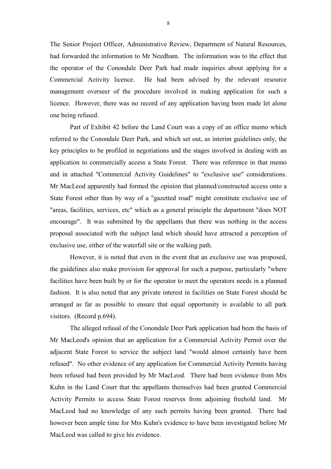The Senior Project Officer, Administrative Review, Department of Natural Resources, had forwarded the information to Mr Needham. The information was to the effect that the operator of the Conondale Deer Park had made inquiries about applying for a Commercial Activity licence. He had been advised by the relevant resource management overseer of the procedure involved in making application for such a licence. However, there was no record of any application having been made let alone one being refused.

Part of Exhibit 42 before the Land Court was a copy of an office memo which referred to the Conondale Deer Park, and which set out, as interim guidelines only, the key principles to be profiled in negotiations and the stages involved in dealing with an application to commercially access a State Forest. There was reference in that memo and in attached "Commercial Activity Guidelines" to "exclusive use" considerations. Mr MacLeod apparently had formed the opinion that planned/constructed access onto a State Forest other than by way of a "gazetted road" might constitute exclusive use of "areas, facilities, services, etc" which as a general principle the department "does NOT encourage". It was submitted by the appellants that there was nothing in the access proposal associated with the subject land which should have attracted a perception of exclusive use, either of the waterfall site or the walking path.

However, it is noted that even in the event that an exclusive use was proposed, the guidelines also make provision for approval for such a purpose, particularly "where facilities have been built by or for the operator to meet the operators needs in a planned fashion. It is also noted that any private interest in facilities on State Forest should be arranged as far as possible to ensure that equal opportunity is available to all park visitors. (Record p.694).

The alleged refusal of the Conondale Deer Park application had been the basis of Mr MacLeod's opinion that an application for a Commercial Activity Permit over the adjacent State Forest to service the subject land "would almost certainly have been refused". No other evidence of any application for Commercial Activity Permits having been refused had been provided by Mr MacLeod. There had been evidence from Mrs Kuhn in the Land Court that the appellants themselves had been granted Commercial Activity Permits to access State Forest reserves from adjoining freehold land. Mr MacLeod had no knowledge of any such permits having been granted. There had however been ample time for Mrs Kuhn's evidence to have been investigated before Mr MacLeod was called to give his evidence.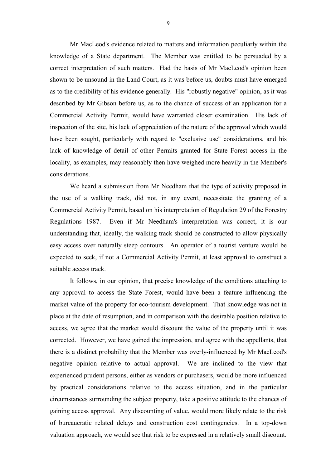Mr MacLeod's evidence related to matters and information peculiarly within the knowledge of a State department. The Member was entitled to be persuaded by a correct interpretation of such matters. Had the basis of Mr MacLeod's opinion been shown to be unsound in the Land Court, as it was before us, doubts must have emerged as to the credibility of his evidence generally. His "robustly negative" opinion, as it was described by Mr Gibson before us, as to the chance of success of an application for a Commercial Activity Permit, would have warranted closer examination. His lack of inspection of the site, his lack of appreciation of the nature of the approval which would have been sought, particularly with regard to "exclusive use" considerations, and his lack of knowledge of detail of other Permits granted for State Forest access in the locality, as examples, may reasonably then have weighed more heavily in the Member's considerations.

We heard a submission from Mr Needham that the type of activity proposed in the use of a walking track, did not, in any event, necessitate the granting of a Commercial Activity Permit, based on his interpretation of Regulation 29 of the Forestry Regulations 1987. Even if Mr Needham's interpretation was correct, it is our understanding that, ideally, the walking track should be constructed to allow physically easy access over naturally steep contours. An operator of a tourist venture would be expected to seek, if not a Commercial Activity Permit, at least approval to construct a suitable access track.

It follows, in our opinion, that precise knowledge of the conditions attaching to any approval to access the State Forest, would have been a feature influencing the market value of the property for eco-tourism development. That knowledge was not in place at the date of resumption, and in comparison with the desirable position relative to access, we agree that the market would discount the value of the property until it was corrected. However, we have gained the impression, and agree with the appellants, that there is a distinct probability that the Member was overly-influenced by Mr MacLeod's negative opinion relative to actual approval. We are inclined to the view that experienced prudent persons, either as vendors or purchasers, would be more influenced by practical considerations relative to the access situation, and in the particular circumstances surrounding the subject property, take a positive attitude to the chances of gaining access approval. Any discounting of value, would more likely relate to the risk of bureaucratic related delays and construction cost contingencies. In a top-down valuation approach, we would see that risk to be expressed in a relatively small discount.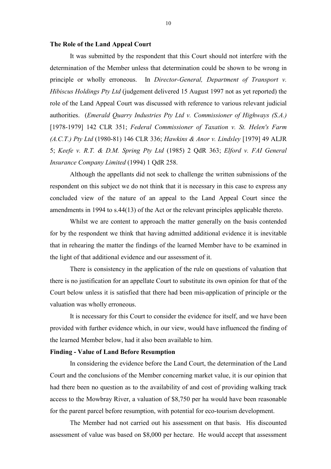#### **The Role of the Land Appeal Court**

It was submitted by the respondent that this Court should not interfere with the determination of the Member unless that determination could be shown to be wrong in principle or wholly erroneous. In *Director-General, Department of Transport v. Hibiscus Holdings Pty Ltd* (judgement delivered 15 August 1997 not as yet reported) the role of the Land Appeal Court was discussed with reference to various relevant judicial authorities. (*Emerald Quarry Industries Pty Ltd v. Commissioner of Highways (S.A.)* [1978-1979] 142 CLR 351; *Federal Commissioner of Taxation v. St. Helen's Farm (A.C.T.) Pty Ltd* (1980-81) 146 CLR 336; *Hawkins & Anor v. Lindsley* [1979] 49 ALJR 5; *Keefe v. R.T. & D.M. Spring Pty Ltd* (1985) 2 QdR 363; *Elford v. FAI General Insurance Company Limited* (1994) 1 QdR 258.

Although the appellants did not seek to challenge the written submissions of the respondent on this subject we do not think that it is necessary in this case to express any concluded view of the nature of an appeal to the Land Appeal Court since the amendments in 1994 to s.44(13) of the Act or the relevant principles applicable thereto.

Whilst we are content to approach the matter generally on the basis contended for by the respondent we think that having admitted additional evidence it is inevitable that in rehearing the matter the findings of the learned Member have to be examined in the light of that additional evidence and our assessment of it.

There is consistency in the application of the rule on questions of valuation that there is no justification for an appellate Court to substitute its own opinion for that of the Court below unless it is satisfied that there had been mis-application of principle or the valuation was wholly erroneous.

It is necessary for this Court to consider the evidence for itself, and we have been provided with further evidence which, in our view, would have influenced the finding of the learned Member below, had it also been available to him.

### **Finding - Value of Land Before Resumption**

In considering the evidence before the Land Court, the determination of the Land Court and the conclusions of the Member concerning market value, it is our opinion that had there been no question as to the availability of and cost of providing walking track access to the Mowbray River, a valuation of \$8,750 per ha would have been reasonable for the parent parcel before resumption, with potential for eco-tourism development.

The Member had not carried out his assessment on that basis. His discounted assessment of value was based on \$8,000 per hectare. He would accept that assessment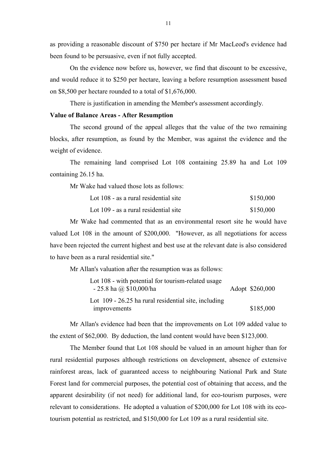as providing a reasonable discount of \$750 per hectare if Mr MacLeod's evidence had been found to be persuasive, even if not fully accepted.

On the evidence now before us, however, we find that discount to be excessive, and would reduce it to \$250 per hectare, leaving a before resumption assessment based on \$8,500 per hectare rounded to a total of \$1,676,000.

There is justification in amending the Member's assessment accordingly.

### **Value of Balance Areas - After Resumption**

The second ground of the appeal alleges that the value of the two remaining blocks, after resumption, as found by the Member, was against the evidence and the weight of evidence.

The remaining land comprised Lot 108 containing 25.89 ha and Lot 109 containing 26.15 ha.

Mr Wake had valued those lots as follows:

| Lot 108 - as a rural residential site | \$150,000 |
|---------------------------------------|-----------|
|                                       |           |

Lot  $109$  - as a rural residential site  $$150,000$ 

Mr Wake had commented that as an environmental resort site he would have valued Lot 108 in the amount of \$200,000. "However, as all negotiations for access have been rejected the current highest and best use at the relevant date is also considered to have been as a rural residential site."

Mr Allan's valuation after the resumption was as follows:

| Lot 108 - with potential for tourism-related usage     |                 |
|--------------------------------------------------------|-----------------|
| $-25.8$ ha @ \$10,000/ha                               | Adopt \$260,000 |
| Lot $109 - 26.25$ ha rural residential site, including |                 |
| improvements                                           | \$185,000       |

Mr Allan's evidence had been that the improvements on Lot 109 added value to the extent of \$62,000. By deduction, the land content would have been \$123,000.

The Member found that Lot 108 should be valued in an amount higher than for rural residential purposes although restrictions on development, absence of extensive rainforest areas, lack of guaranteed access to neighbouring National Park and State Forest land for commercial purposes, the potential cost of obtaining that access, and the apparent desirability (if not need) for additional land, for eco-tourism purposes, were relevant to considerations. He adopted a valuation of \$200,000 for Lot 108 with its ecotourism potential as restricted, and \$150,000 for Lot 109 as a rural residential site.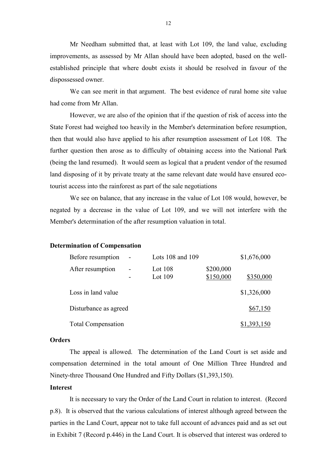Mr Needham submitted that, at least with Lot 109, the land value, excluding improvements, as assessed by Mr Allan should have been adopted, based on the wellestablished principle that where doubt exists it should be resolved in favour of the dispossessed owner.

We can see merit in that argument. The best evidence of rural home site value had come from Mr Allan.

However, we are also of the opinion that if the question of risk of access into the State Forest had weighed too heavily in the Member's determination before resumption, then that would also have applied to his after resumption assessment of Lot 108. The further question then arose as to difficulty of obtaining access into the National Park (being the land resumed). It would seem as logical that a prudent vendor of the resumed land disposing of it by private treaty at the same relevant date would have ensured ecotourist access into the rainforest as part of the sale negotiations

We see on balance, that any increase in the value of Lot 108 would, however, be negated by a decrease in the value of Lot 109, and we will not interfere with the Member's determination of the after resumption valuation in total.

#### **Determination of Compensation**

| Before resumption         | $\overline{\phantom{0}}$ | Lots $108$ and $109$ |                        | \$1,676,000 |
|---------------------------|--------------------------|----------------------|------------------------|-------------|
| After resumption          |                          | Lot $108$<br>Lot 109 | \$200,000<br>\$150,000 | \$350,000   |
| Loss in land value        |                          |                      |                        | \$1,326,000 |
| Disturbance as agreed     |                          |                      |                        | \$67,150    |
| <b>Total Compensation</b> |                          |                      |                        | \$1,393,150 |

### **Orders**

The appeal is allowed. The determination of the Land Court is set aside and compensation determined in the total amount of One Million Three Hundred and Ninety-three Thousand One Hundred and Fifty Dollars (\$1,393,150).

### **Interest**

It is necessary to vary the Order of the Land Court in relation to interest. (Record p.8). It is observed that the various calculations of interest although agreed between the parties in the Land Court, appear not to take full account of advances paid and as set out in Exhibit 7 (Record p.446) in the Land Court. It is observed that interest was ordered to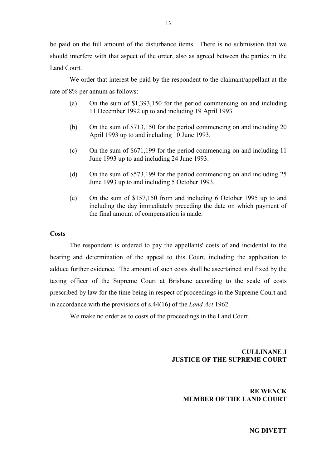be paid on the full amount of the disturbance items. There is no submission that we should interfere with that aspect of the order, also as agreed between the parties in the Land Court.

We order that interest be paid by the respondent to the claimant/appellant at the rate of 8% per annum as follows:

- (a) On the sum of \$1,393,150 for the period commencing on and including 11 December 1992 up to and including 19 April 1993.
- (b) On the sum of \$713,150 for the period commencing on and including 20 April 1993 up to and including 10 June 1993.
- (c) On the sum of \$671,199 for the period commencing on and including 11 June 1993 up to and including 24 June 1993.
- (d) On the sum of \$573,199 for the period commencing on and including 25 June 1993 up to and including 5 October 1993.
- (e) On the sum of \$157,150 from and including 6 October 1995 up to and including the day immediately preceding the date on which payment of the final amount of compensation is made.

### **Costs**

The respondent is ordered to pay the appellants' costs of and incidental to the hearing and determination of the appeal to this Court, including the application to adduce further evidence. The amount of such costs shall be ascertained and fixed by the taxing officer of the Supreme Court at Brisbane according to the scale of costs prescribed by law for the time being in respect of proceedings in the Supreme Court and in accordance with the provisions of s.44(16) of the *Land Act* 1962.

We make no order as to costs of the proceedings in the Land Court.

# **CULLINANE J JUSTICE OF THE SUPREME COURT**

# **RE WENCK MEMBER OF THE LAND COURT**

**NG DIVETT**